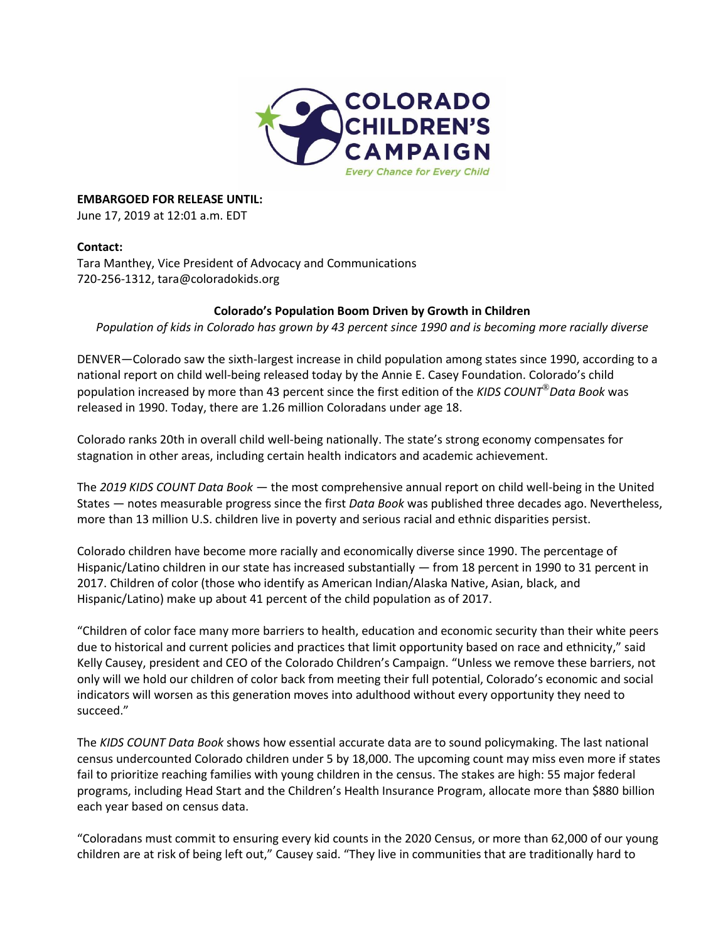

**EMBARGOED FOR RELEASE UNTIL:**

June 17, 2019 at 12:01 a.m. EDT

## **Contact:**

Tara Manthey, Vice President of Advocacy and Communications 720-256-1312[, tara@coloradokids.org](mailto:tara@coloradokids.org)

### **Colorado's Population Boom Driven by Growth in Children**

*Population of kids in Colorado has grown by 43 percent since 1990 and is becoming more racially diverse*

DENVER—Colorado saw the sixth-largest increase in child population among states since 1990, according to a national report on child well-being released today by the Annie E. Casey Foundation. Colorado's child population increased by more than 43 percent since the first edition of the *KIDS COUNT*®*Data Book* was released in 1990. Today, there are 1.26 million Coloradans under age 18.

Colorado ranks 20th in overall child well-being nationally. The state's strong economy compensates for stagnation in other areas, including certain health indicators and academic achievement.

The *2019 KIDS COUNT Data Book* — the most comprehensive annual report on child well-being in the United States — notes measurable progress since the first *Data Book* was published three decades ago. Nevertheless, more than 13 million U.S. children live in poverty and serious racial and ethnic disparities persist.

Colorado children have become more racially and economically diverse since 1990. The percentage of Hispanic/Latino children in our state has increased substantially — from 18 percent in 1990 to 31 percent in 2017. Children of color (those who identify as American Indian/Alaska Native, Asian, black, and Hispanic/Latino) make up about 41 percent of the child population as of 2017.

"Children of color face many more barriers to health, education and economic security than their white peers due to historical and current policies and practices that limit opportunity based on race and ethnicity," said Kelly Causey, president and CEO of the Colorado Children's Campaign. "Unless we remove these barriers, not only will we hold our children of color back from meeting their full potential, Colorado's economic and social indicators will worsen as this generation moves into adulthood without every opportunity they need to succeed."

The *KIDS COUNT Data Book* shows how essential accurate data are to sound policymaking. The last national census undercounted Colorado children under 5 by 18,000. The upcoming count may miss even more if states fail to prioritize reaching families with young children in the census. The stakes are high: 55 major federal programs, including Head Start and the Children's Health Insurance Program, allocate more than \$880 billion each year based on census data.

"Coloradans must commit to ensuring every kid counts in the 2020 Census, or more than 62,000 of our young children are at risk of being left out," Causey said. "They live in communities that are traditionally hard to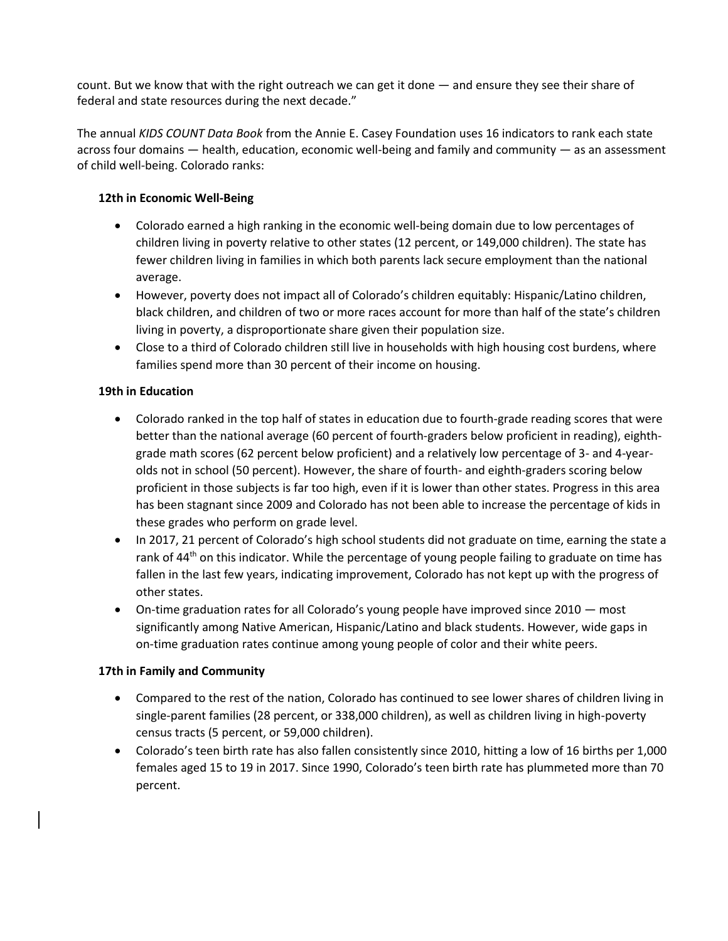count. But we know that with the right outreach we can get it done — and ensure they see their share of federal and state resources during the next decade."

The annual *KIDS COUNT Data Book* from the Annie E. Casey Foundation uses 16 indicators to rank each state across four domains — health, education, economic well-being and family and community — as an assessment of child well-being. Colorado ranks:

## **12th in Economic Well-Being**

- Colorado earned a high ranking in the economic well-being domain due to low percentages of children living in poverty relative to other states (12 percent, or 149,000 children). The state has fewer children living in families in which both parents lack secure employment than the national average.
- However, poverty does not impact all of Colorado's children equitably: Hispanic/Latino children, black children, and children of two or more races account for more than half of the state's children living in poverty, a disproportionate share given their population size.
- Close to a third of Colorado children still live in households with high housing cost burdens, where families spend more than 30 percent of their income on housing.

# **19th in Education**

- Colorado ranked in the top half of states in education due to fourth-grade reading scores that were better than the national average (60 percent of fourth-graders below proficient in reading), eighthgrade math scores (62 percent below proficient) and a relatively low percentage of 3- and 4-yearolds not in school (50 percent). However, the share of fourth- and eighth-graders scoring below proficient in those subjects is far too high, even if it is lower than other states. Progress in this area has been stagnant since 2009 and Colorado has not been able to increase the percentage of kids in these grades who perform on grade level.
- In 2017, 21 percent of Colorado's high school students did not graduate on time, earning the state a rank of  $44<sup>th</sup>$  on this indicator. While the percentage of young people failing to graduate on time has fallen in the last few years, indicating improvement, Colorado has not kept up with the progress of other states.
- On-time graduation rates for all Colorado's young people have improved since  $2010$  most significantly among Native American, Hispanic/Latino and black students. However, wide gaps in on-time graduation rates continue among young people of color and their white peers.

## **17th in Family and Community**

- Compared to the rest of the nation, Colorado has continued to see lower shares of children living in single-parent families (28 percent, or 338,000 children), as well as children living in high-poverty census tracts (5 percent, or 59,000 children).
- Colorado's teen birth rate has also fallen consistently since 2010, hitting a low of 16 births per 1,000 females aged 15 to 19 in 2017. Since 1990, Colorado's teen birth rate has plummeted more than 70 percent.